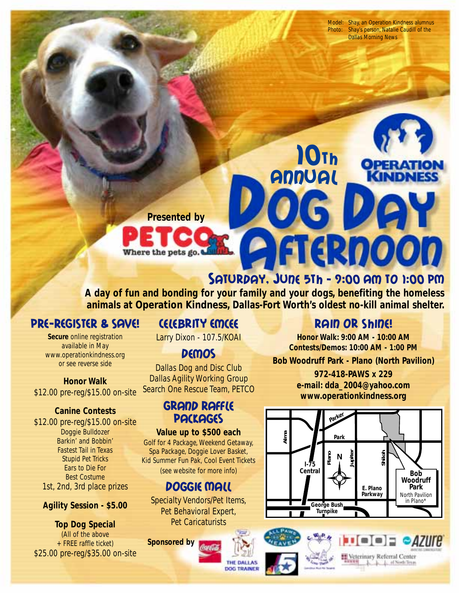Model: Shay, an Operation Kindness alumnus Photo: Shay's person, Natalie Caudill of the Dallas Morning News

**Presented by**

Where the pets go.

# Saturday, June 5th - 9:00 Am to 1:00 PM

6 D

10th Annual

**A day of fun and bonding for your family and your dogs, benefiting the homeless animals at Operation Kindness, Dallas-Fort Worth's oldest no-kill animal shelter.**

# PRE-REGISTER & SAVE!

**Secure** online registration available in May www.operationkindness.org or see reverse side

#### **Honor Walk** \$12.00 pre-reg/\$15.00 on-site

### **Canine Contests**

\$12.00 pre-reg/\$15.00 on-site Doggie Bulldozer Barkin' and Bobbin' Fastest Tail in Texas Stupid Pet Tricks Ears to Die For Best Costume 1st, 2nd, 3rd place prizes

### **Agility Session - \$5.00**

**Top Dog Special** (All of the above + FREE raffle ticket) \$25.00 pre-reg/\$35.00 on-site

## Celebrity Emcee

Larry Dixon - 107.5/KOAI

## **Demos**

Dallas Dog and Disc Club Dallas Agility Working Group Search One Rescue Team, PETCO

## Grand Raffle **PACKAGES**

**Value up to \$500 each** Golf for 4 Package, Weekend Getaway, Spa Package, Doggie Lover Basket, Kid Summer Fun Pak, Cool Event Tickets (see website for more info)

## Doggie Mall

Specialty Vendors/Pet Items, Pet Behavioral Expert, Pet Caricaturists

> THE DALLAS **DOG TRAINER**

**Sponsored by**

## Rain or Shine!

**Honor Walk: 9:00 AM - 10:00 AM Contests/Demos: 10:00 AM - 1:00 PM**

**Bob Woodruff Park - Plano (North Pavilion)**

**972-418-PAWS x 229 e-mail: dda\_2004@yahoo.com www.operationkindness.org**